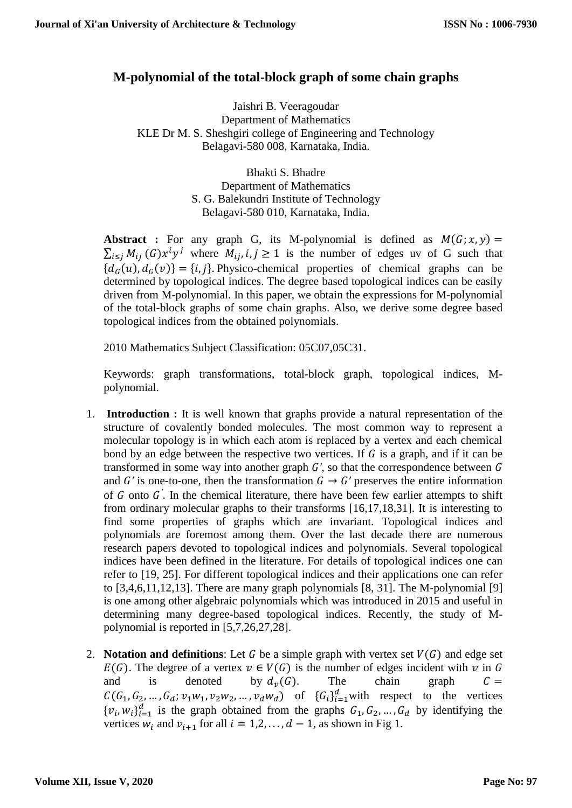# **M-polynomial of the total-block graph of some chain graphs**

Jaishri B. Veeragoudar Department of Mathematics KLE Dr M. S. Sheshgiri college of Engineering and Technology Belagavi-580 008, Karnataka, India.

> Bhakti S. Bhadre Department of Mathematics S. G. Balekundri Institute of Technology Belagavi-580 010, Karnataka, India.

**Abstract :** For any graph G, its M-polynomial is defined as  $M(G; x, y) =$  $\sum_{i \leq j} M_{ij}$  (G) $x^i y^j$  where  $M_{ij}$ ,  $i, j \geq 1$  is the number of edges uv of G such that  ${d_G(u), d_G(v)} = {i, j}$ . Physico-chemical properties of chemical graphs can be determined by topological indices. The degree based topological indices can be easily driven from M-polynomial. In this paper, we obtain the expressions for M-polynomial of the total-block graphs of some chain graphs. Also, we derive some degree based topological indices from the obtained polynomials.

2010 Mathematics Subject Classification: 05C07,05C31.

Keywords: graph transformations, total-block graph, topological indices, Mpolynomial.

- 1. **Introduction :** It is well known that graphs provide a natural representation of the structure of covalently bonded molecules. The most common way to represent a molecular topology is in which each atom is replaced by a vertex and each chemical bond by an edge between the respective two vertices. If  $G$  is a graph, and if it can be transformed in some way into another graph  $G'$ , so that the correspondence between  $G$ and *G'* is one-to-one, then the transformation  $G \rightarrow G'$  preserves the entire information of  $G$  onto  $G'$ . In the chemical literature, there have been few earlier attempts to shift from ordinary molecular graphs to their transforms [16,17,18,31]. It is interesting to find some properties of graphs which are invariant. Topological indices and polynomials are foremost among them. Over the last decade there are numerous research papers devoted to topological indices and polynomials. Several topological indices have been defined in the literature. For details of topological indices one can refer to [19, 25]. For different topological indices and their applications one can refer to [3,4,6,11,12,13]. There are many graph polynomials [8, 31]. The M-polynomial [9] is one among other algebraic polynomials which was introduced in 2015 and useful in determining many degree-based topological indices. Recently, the study of Mpolynomial is reported in [5,7,26,27,28].
- 2. **Notation and definitions**: Let G be a simple graph with vertex set  $V(G)$  and edge set  $E(G)$ . The degree of a vertex  $v \in V(G)$  is the number of edges incident with v in G and is denoted by  $d_v(G)$ . The chain graph  $C =$  $C(G_1, G_2, \ldots, G_d; \nu_1 w_1, \nu_2 w_2, \ldots, \nu_d w_d)$  of  $\{G_i\}_{i=1}^d$  with respect to the vertices  ${v_i, w_i}_{i=1}^d$  is the graph obtained from the graphs  $G_1, G_2, ..., G_d$  by identifying the vertices  $w_i$  and  $v_{i+1}$  for all  $i = 1, 2, ..., d - 1$ , as shown in Fig 1.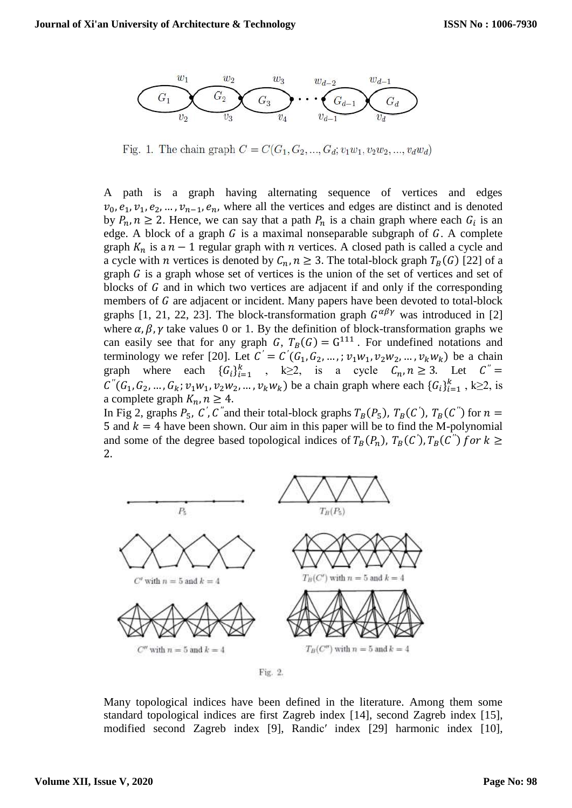

Fig. 1. The chain graph  $C = C(G_1, G_2, ..., G_d; v_1w_1, v_2w_2, ..., v_dw_d)$ 

A path is a graph having alternating sequence of vertices and edges  $v_0, e_1, v_1, e_2, \dots, v_{n-1}, e_n$ , where all the vertices and edges are distinct and is denoted by  $P_n$ ,  $n \ge 2$ . Hence, we can say that a path  $P_n$  is a chain graph where each  $G_i$  is an edge. A block of a graph  $G$  is a maximal nonseparable subgraph of  $G$ . A complete graph  $K_n$  is a  $n - 1$  regular graph with  $n$  vertices. A closed path is called a cycle and a cycle with *n* vertices is denoted by  $C_n$ ,  $n \geq 3$ . The total-block graph  $T_B(G)$  [22] of a graph  $G$  is a graph whose set of vertices is the union of the set of vertices and set of blocks of  $G$  and in which two vertices are adjacent if and only if the corresponding members of  $G$  are adjacent or incident. Many papers have been devoted to total-block graphs [1, 21, 22, 23]. The block-transformation graph  $G^{\alpha\beta\gamma}$  was introduced in [2] where  $\alpha$ ,  $\beta$ ,  $\gamma$  take values 0 or 1. By the definition of block-transformation graphs we can easily see that for any graph G,  $T_B(G) = G^{111}$ . For undefined notations and terminology we refer [20]. Let  $C' = C'(G_1, G_2, ...,; v_1w_1, v_2w_2, ..., v_kw_k)$  be a chain graph where each  ${G_i}_{i=1}^k$ , k≥2, is a cycle  $C_n, n \ge 3$ . Let  $C'' =$  $C''(G_1, G_2, ..., G_k; v_1w_1, v_2w_2, ..., v_kw_k)$  be a chain graph where each  $\{G_i\}_{i=1}^k$ , k≥2, is a complete graph  $K_n$ ,  $n \geq 4$ .

In Fig 2, graphs  $P_5$ , C', C'' and their total-block graphs  $T_B(P_5)$ ,  $T_B(C')$ ,  $T_B(C'')$  for  $n =$ 5 and  $k = 4$  have been shown. Our aim in this paper will be to find the M-polynomial and some of the degree based topological indices of  $T_B(P_n)$ ,  $T_B(C')$ ,  $T_B(C'')$  for  $k \geq$ 2.



Fig. 2.

Many topological indices have been defined in the literature. Among them some standard topological indices are first Zagreb index [14], second Zagreb index [15], modified second Zagreb index [9], Randic′ index [29] harmonic index [10],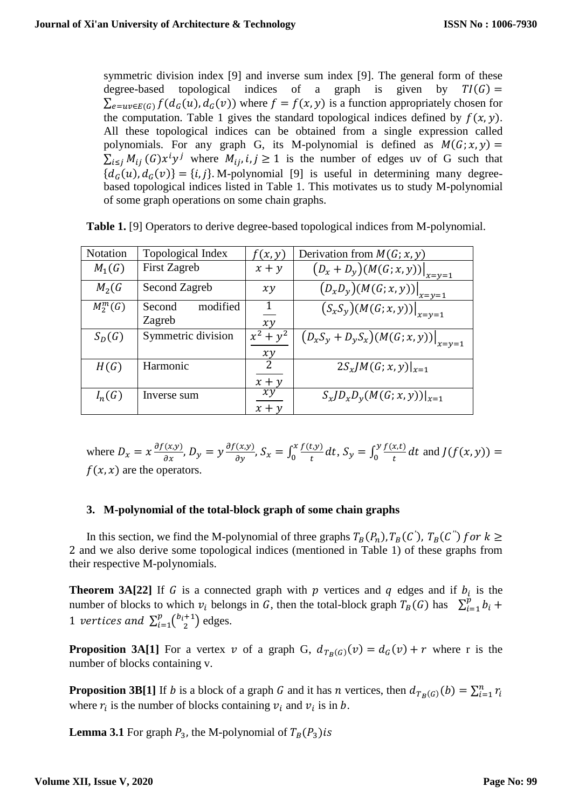symmetric division index [9] and inverse sum index [9]. The general form of these degree-based topological indices of a graph is given by  $TI(G)$  =  $\sum_{e=uv\in E(G)} f(d_G(u), d_G(v))$  where  $f = f(x, y)$  is a function appropriately chosen for the computation. Table 1 gives the standard topological indices defined by  $f(x, y)$ . All these topological indices can be obtained from a single expression called polynomials. For any graph G, its M-polynomial is defined as  $M(G; x, y) =$  $\sum_{i \leq j} M_{ij}$  (G) $x^i y^j$  where  $M_{ij}$ ,  $i, j \geq 1$  is the number of edges uv of G such that  ${d_G(u), d_G(v)} = {i, j}.$  M-polynomial [9] is useful in determining many degreebased topological indices listed in Table 1. This motivates us to study M-polynomial of some graph operations on some chain graphs.

| Notation   | Topological Index            | f(x,y)                              | Derivation from $M(G; x, y)$                                                         |
|------------|------------------------------|-------------------------------------|--------------------------------------------------------------------------------------|
| $M_1(G)$   | <b>First Zagreb</b>          | $x + y$                             | $(D_x + D_y)(M(G; x, y))\big _{x=y=1}$                                               |
| $M_2$ (G   | Second Zagreb                | xy                                  | $\left. \overline{\left( D_x D_y \right) \left( M(G; x, y) \right)} \right _{x=y=1}$ |
| $M_2^m(G)$ | modified<br>Second<br>Zagreb | 1<br>xy                             | $\left. \overline{\left( S_x S_y \right)} (M(G; x, y)) \right _{x=y=1}$              |
| $S_D(G)$   | Symmetric division           | $x^2 + y^2$<br>xy                   | $(D_xS_y + D_yS_x)(M(G; x, y))\big _{x=y=1}$                                         |
| H(G)       | Harmonic                     | $\overline{\mathcal{L}}$<br>$x + y$ | $2S_xJM(G; x, y) _{x=1}$                                                             |
| $I_n(G)$   | Inverse sum                  | xy<br>$x + y$                       | $S_xJD_xD_y(M(G; x, y)) _{x=1}$                                                      |

**Table 1.** [9] Operators to derive degree-based topological indices from M-polynomial.

where  $D_x = x \frac{\partial f(x, y)}{\partial x}$ ,  $D_y = y \frac{\partial f(x, y)}{\partial y}$ ,  $S_x = \int_0^x \frac{f(t, y)}{t}$  $\int_0^x \frac{f(t,y)}{t} dt$ ,  $S_y = \int_0^y \frac{f(x,t)}{t}$  $\int_0^y \frac{f(x,t)}{t} dt$  and  $J(f(x,y)) =$  $f(x, x)$  are the operators.

## **3. M-polynomial of the total-block graph of some chain graphs**

In this section, we find the M-polynomial of three graphs  $T_B(P_n)$ ,  $T_B(C')$ ,  $T_B(C'')$  for  $k \geq$ 2 and we also derive some topological indices (mentioned in Table 1) of these graphs from their respective M-polynomials.

**Theorem 3A[22]** If G is a connected graph with  $p$  vertices and  $q$  edges and if  $b_i$  is the number of blocks to which  $v_i$  belongs in G, then the total-block graph  $T_B(G)$  has  $\sum_{i=1}^p b_i$  +  $i=1$ 1 vertices and  $\sum_{i=1}^{p} {b_i+1 \choose 2}$  $\binom{p}{i=1} \binom{b_i+1}{2}$  $_{i=1}^{p} \binom{b_i+1}{2}$  edges.

**Proposition 3A[1]** For a vertex v of a graph G,  $d_{T_B(G)}(v) = d_G(v) + r$  where r is the number of blocks containing v.

**Proposition 3B[1]** If *b* is a block of a graph *G* and it has *n* vertices, then  $d_{T_B(G)}(b) = \sum_{i=1}^n r_i$ where  $r_i$  is the number of blocks containing  $v_i$  and  $v_i$  is in b.

**Lemma** 3.1 For graph  $P_3$ , the M-polynomial of  $T_B(P_3)$  is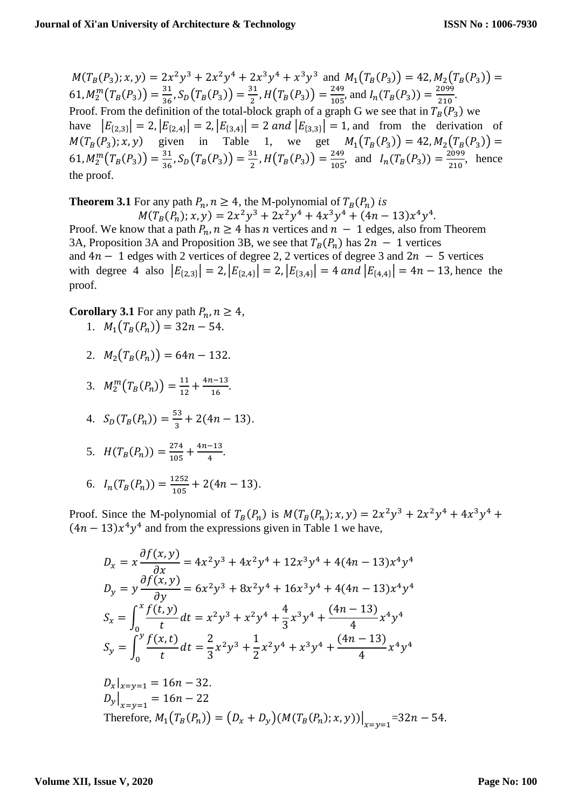$M(T_B(P_3); x, y) = 2x^2y^3 + 2x^2y^4 + 2x^3y^4 + x^3y^3$  and  $M_1(T_B(P_3)) = 42, M_2(T_B(P_3)) =$ 61,  $M_2^m(T_B(P_3)) = \frac{31}{36}$  $\frac{31}{36}$ ,  $S_D(T_B(P_3)) = \frac{31}{2}$  $\frac{31}{2}$ ,  $H(T_B(P_3)) = \frac{249}{105}$  $\frac{249}{105}$ , and  $I_n(T_B(P_3)) = \frac{2099}{210}$  $\frac{2099}{210}$ . Proof. From the definition of the total-block graph of a graph G we see that in  $T_B(P_3)$  we have  $|E_{\{2,3\}}| = 2$ ,  $|E_{\{2,4\}}| = 2$ ,  $|E_{\{3,4\}}| = 2$  and  $|E_{\{3,3\}}| = 1$ , and from the derivation of  $M(T_B(P_3); x, y)$  given in Table 1, we get  $M_1(T_B(P_3)) = 42, M_2(T_B(P_3)) =$ 61,  $M_2^m(T_B(P_3)) = \frac{31}{36}$  $\frac{31}{36}$ ,  $S_D(T_B(P_3)) = \frac{31}{2}$  $\frac{31}{2}$ ,  $H(T_B(P_3)) = \frac{249}{105}$  $\frac{249}{105}$ , and  $I_n(T_B(P_3)) = \frac{2099}{210}$  $\frac{2099}{210}$ , hence the proof.

**Theorem 3.1** For any path  $P_n$ ,  $n \geq 4$ , the M-polynomial of  $T_B(P_n)$  is

$$
M(T_B(P_n); x, y) = 2x^2y^3 + 2x^2y^4 + 4x^3y^4 + (4n - 13)x^4y^4.
$$

Proof. We know that a path  $P_n$ ,  $n \geq 4$  has n vertices and  $n - 1$  edges, also from Theorem 3A, Proposition 3A and Proposition 3B, we see that  $T_B(P_n)$  has  $2n - 1$  vertices and  $4n - 1$  edges with 2 vertices of degree 2, 2 vertices of degree 3 and  $2n - 5$  vertices with degree 4 also  $|E_{\{2,3\}}| = 2$ ,  $|E_{\{2,4\}}| = 2$ ,  $|E_{\{3,4\}}| = 4$  and  $|E_{\{4,4\}}| = 4n - 13$ , hence the proof.

**Corollary 3.1** For any path  $P_n$ ,  $n \geq 4$ ,

1.  $M_1(T_B(P_n)) = 32n - 54.$ 

2. 
$$
M_2(T_B(P_n)) = 64n - 132.
$$

3. 
$$
M_2^m(T_B(P_n)) = \frac{11}{12} + \frac{4n-13}{16}
$$
.

4. 
$$
S_D(T_B(P_n)) = \frac{53}{3} + 2(4n - 13).
$$

5. 
$$
H(T_B(P_n)) = \frac{274}{105} + \frac{4n-13}{4}.
$$

6. 
$$
I_n(T_B(P_n)) = \frac{1252}{105} + 2(4n - 13).
$$

Proof. Since the M-polynomial of  $T_B(P_n)$  is  $M(T_B(P_n); x, y) = 2x^2y^3 + 2x^2y^4 + 4x^3y^4 + 4x^2y^2$  $(4n - 13)x<sup>4</sup>y<sup>4</sup>$  and from the expressions given in Table 1 we have,

$$
D_x = x \frac{\partial f(x, y)}{\partial x} = 4x^2y^3 + 4x^2y^4 + 12x^3y^4 + 4(4n - 13)x^4y^4
$$
  
\n
$$
D_y = y \frac{\partial f(x, y)}{\partial y} = 6x^2y^3 + 8x^2y^4 + 16x^3y^4 + 4(4n - 13)x^4y^4
$$
  
\n
$$
S_x = \int_0^x \frac{f(t, y)}{t} dt = x^2y^3 + x^2y^4 + \frac{4}{3}x^3y^4 + \frac{(4n - 13)}{4}x^4y^4
$$
  
\n
$$
S_y = \int_0^y \frac{f(x, t)}{t} dt = \frac{2}{3}x^2y^3 + \frac{1}{2}x^2y^4 + x^3y^4 + \frac{(4n - 13)}{4}x^4y^4
$$
  
\n
$$
D_x|_{x=y=1} = 16n - 32.
$$
  
\n
$$
D_y|_{x=y=1} = 16n - 22
$$
  
\nTherefore,  $M_1(T_B(P_n)) = (D_x + D_y)(M(T_B(P_n); x, y))|_{x=y=1} = 32n - 54.$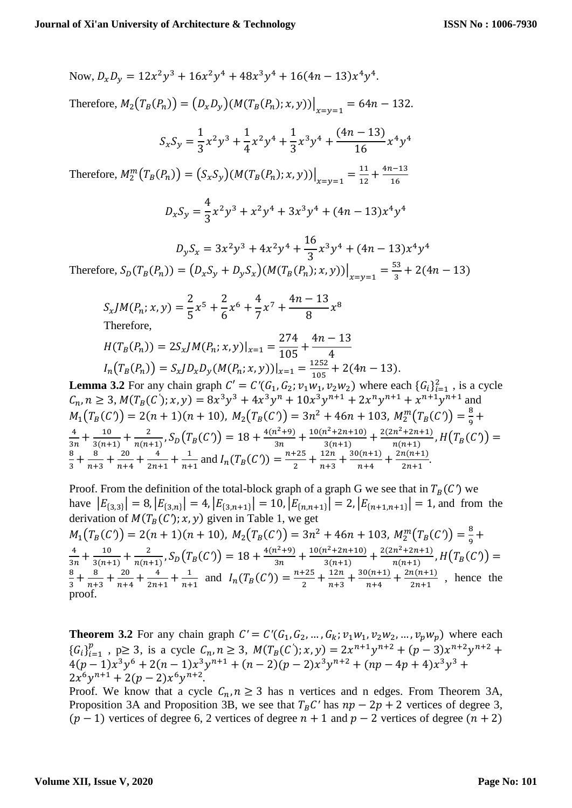Now,  $D_x D_y = 12x^2y^3 + 16x^2y^4 + 48x^3y^4 + 16(4n - 13)x^4y^4$ . Therefore,  $M_2(T_B(P_n)) = (D_x D_y)(M(T_B(P_n); x, y))\Big|_{x=y=1} = 64n - 132.$  $S_xS_y =$ 1 3  $x^2y^3 + \frac{1}{4}$ 4  $x^2y^4 + \frac{1}{2}$ 3  $x^3y^4 + \frac{(4n-13)}{16}$  $\frac{13}{16}x^4y^4$ Therefore,  $M_2^m(T_B(P_n)) = (S_x S_y) (M(T_B(P_n); x, y))\Big|_{x=y=1} = \frac{11}{12}$  $\frac{11}{12} + \frac{4n-13}{16}$ 16  $D_xS_y =$ 4 3  $x^2y^3 + x^2y^4 + 3x^3y^4 + (4n - 13)x^4y^4$  $D_y S_x = 3x^2y^3 + 4x^2y^4 + \frac{16}{2}$ 3  $x^3y^4 + (4n - 13)x^4y^4$ Therefore,  $S_D(T_B(P_n)) = (D_x S_y + D_y S_x) (M(T_B(P_n); x, y)) \Big|_{x=y=1} = \frac{53}{3}$  $\frac{33}{3}$  + 2(4n – 13)  $S_x J M(P_n; x, y) =$ 2 5  $x^5 + \frac{2}{5}$ 6  $x^6 + \frac{4}{7}$ 7  $x^7 + \frac{4n-13}{9}$ 8  $x^8$ Therefore,  $H(T_B(P_n)) = 2S_x J M(P_n; x, y)|_{x=1} =$ 274  $\frac{1}{105}$  +  $4n - 13$ 4  $I_n(T_B(P_n)) = S_x J D_x D_y(M(P_n; x, y))|_{x=1} = \frac{1252}{105}$  $\frac{1232}{105} + 2(4n - 13).$ **Lemma 3.2** For any chain graph  $C' = C'(G_1, G_2; v_1w_1, v_2w_2)$  where each  $\{G_i\}_{i=1}^2$ , is a cycle  $C_n$ ,  $n \ge 3$ ,  $M(T_B(C'))$ ;  $x, y$ ) =  $8x^3y^3 + 4x^3y^n + 10x^3y^{n+1} + 2x^ny^{n+1} + x^{n+1}y^{n+1}$  and  $M_1(T_B(C)) = 2(n + 1)(n + 10), M_2(T_B(C)) = 3n^2 + 46n + 103, M_2^m(T_B(C)) = \frac{8}{9}$  $\frac{6}{9}$  + 4  $\frac{4}{3n} + \frac{10}{3(n+1)}$  $\frac{10}{3(n+1)} + \frac{2}{n(n+1)}$  $\frac{2}{n(n+1)}, S_D(T_B(C)) = 18 + \frac{4(n^2+9)}{3n}$  $\frac{n^2+9}{3n} + \frac{10(n^2+2n+10)}{3(n+1)}$  $\frac{n^2+2n+10)}{3(n+1)}+\frac{2(2n^2+2n+1)}{n(n+1)}$  $\frac{n}{n(n+1)}$ ,  $H(T_B(C)) =$ 8  $\frac{8}{3} + \frac{8}{n+1}$  $\frac{8}{n+3} + \frac{20}{n+4}$  $\frac{20}{n+4} + \frac{4}{2n}$  $\frac{4}{2n+1} + \frac{1}{n+1}$  $\frac{1}{n+1}$  and  $I_n(T_B(C)) = \frac{n+25}{2}$  $\frac{+25}{2} + \frac{12n}{n+3}$  $\frac{12n}{n+3} + \frac{30(n+1)}{n+4}$  $\frac{2n(n+1)}{n+4} + \frac{2n(n+1)}{2n+1}$  $\frac{n(n+1)}{2n+1}$ .

Proof. From the definition of the total-block graph of a graph G we see that in  $T_R(C)$  we have  $|E_{\{3,3\}}| = 8$ ,  $|E_{\{3,n\}}| = 4$ ,  $|E_{\{3,n+1\}}| = 10$ ,  $|E_{\{n,n+1\}}| = 2$ ,  $|E_{\{n+1,n+1\}}| = 1$ , and from the derivation of  $M(T_B(C); x, y)$  given in Table 1, we get  $M_1(T_B(C)) = 2(n + 1)(n + 10), M_2(T_B(C)) = 3n^2 + 46n + 103, M_2^m(T_B(C)) = \frac{8}{9} +$ 9 4  $\frac{4}{3n} + \frac{10}{3(n+1)}$  $\frac{10}{3(n+1)} + \frac{2}{n(n+1)}$  $\frac{2}{n(n+1)}, S_D(T_B(C)) = 18 + \frac{4(n^2+9)}{3n}$  $\frac{n^2+9}{3n} + \frac{10(n^2+2n+10)}{3(n+1)}$  $\frac{n^2+2n+10)}{3(n+1)}+\frac{2(2n^2+2n+1)}{n(n+1)}$  $\frac{n}{n(n+1)}$ ,  $H(T_B(C)) =$ 8  $\frac{8}{3} + \frac{8}{n+1}$  $\frac{8}{n+3} + \frac{20}{n+4}$  $\frac{20}{n+4} + \frac{4}{2n}$  $\frac{4}{2n+1} + \frac{1}{n+1}$  $\frac{1}{n+1}$  and  $I_n(T_B(C)) = \frac{n+25}{2}$  $\frac{+25}{2} + \frac{12n}{n+3}$  $\frac{12n}{n+3} + \frac{30(n+1)}{n+4}$  $\frac{2n(n+1)}{n+4} + \frac{2n(n+1)}{2n+1}$  $\frac{n(n+1)}{2n+1}$ , hence the proof.

**Theorem 3.2** For any chain graph  $C' = C'(G_1, G_2, ..., G_k; v_1w_1, v_2w_2, ..., v_pw_p)$  where each  ${G_i}_{i=1}^p$  $_{i=1}^{p}$ , p≥ 3, is a cycle  $C_n$ , n ≥ 3,  $M(T_B(C'); x, y) = 2x^{n+1}y^{n+2} + (p-3)x^{n+2}y^{n+2} +$  $4(p-1)x^3y^6 + 2(n-1)x^3y^{n+1} + (n-2)(p-2)x^3y^{n+2} + (np-4p+4)x^3y^3$  $2x^6y^{n+1} + 2(p-2)x^6y^{n+2}.$ 

Proof. We know that a cycle  $C_n$ ,  $n \geq 3$  has n vertices and n edges. From Theorem 3A, Proposition 3A and Proposition 3B, we see that  $T_B C'$  has  $np - 2p + 2$  vertices of degree 3,  $(p-1)$  vertices of degree 6, 2 vertices of degree  $n + 1$  and  $p - 2$  vertices of degree  $(n + 2)$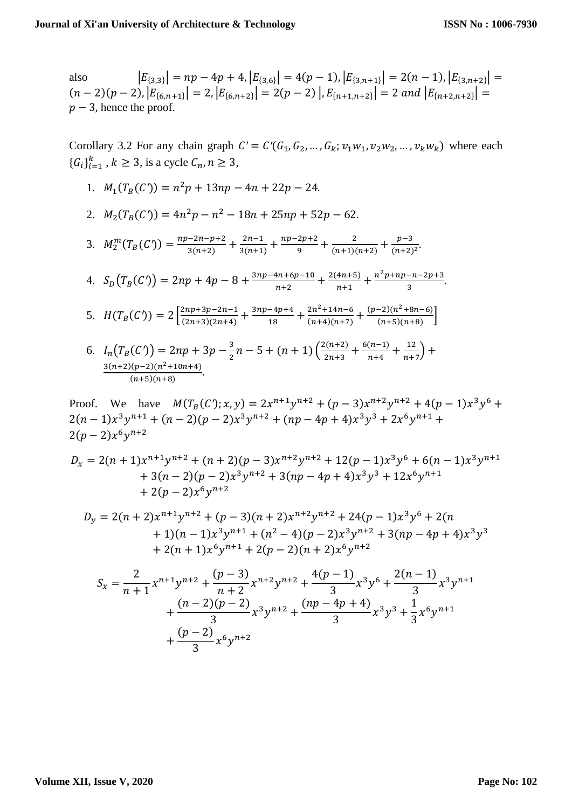also  $|E_{\{3,3\}}| = np - 4p + 4, |E_{\{3,6\}}| = 4(p-1), |E_{\{3,n+1\}}| = 2(n-1), |E_{\{3,n+2\}}| =$  $(n-2)(p-2), |E_{\{6,n+1\}}| = 2, |E_{\{6,n+2\}}| = 2(p-2) |E_{\{n+1,n+2\}}| = 2 \text{ and } |E_{\{n+2,n+2\}}| =$  $p-3$ , hence the proof.

Corollary 3.2 For any chain graph  $C' = C'(G_1, G_2, ..., G_k; v_1w_1, v_2w_2, ..., v_kw_k)$  where each  ${G_i}_{i=1}^k$ ,  $k \ge 3$ , is a cycle  $C_n$ ,  $n \ge 3$ ,

- 1.  $M_1(T_B(C)) = n^2p + 13np 4n + 22p 24.$
- 2.  $M_2(T_B(C)) = 4n^2p n^2 18n + 25np + 52p 62$ .
- 3.  $M_2^m(T_B(C)) = \frac{np 2n p + 2}{3(n+2)}$  $\frac{-2n-p+2}{3(n+2)} + \frac{2n-1}{3(n+1)}$  $\frac{2n-1}{3(n+1)} + \frac{np-2p+2}{9}$  $\frac{2p+2}{9} + \frac{2}{(n+1)(n+2)}$  $\frac{2}{(n+1)(n+2)} + \frac{p-3}{(n+2)}$  $\frac{p-3}{(n+2)^2}$ .

4. 
$$
S_D(T_B(C)) = 2np + 4p - 8 + \frac{3np - 4n + 6p - 10}{n+2} + \frac{2(4n+5)}{n+1} + \frac{n^2p + np - n - 2p + 3}{3}
$$

5. 
$$
H(T_B(C)) = 2\left[\frac{2np+3p-2n-1}{(2n+3)(2n+4)} + \frac{3np-4p+4}{18} + \frac{2n^2+14n-6}{(n+4)(n+7)} + \frac{(p-2)(n^2+8n-6)}{(n+5)(n+8)}\right]
$$

6. 
$$
I_n(T_B(C)) = 2np + 3p - \frac{3}{2}n - 5 + (n+1)\left(\frac{2(n+2)}{2n+3} + \frac{6(n-1)}{n+4} + \frac{12}{n+7}\right) + \frac{3(n+2)(p-2)(n^2+10n+4)}{(n+5)(n+8)}
$$

Proof. We have  $M(T_B(C); x, y) = 2x^{n+1}y^{n+2} + (p-3)x^{n+2}y^{n+2} + 4(p-1)x^3y^6 +$  $2(n-1)x^3y^{n+1} + (n-2)(p-2)x^3y^{n+2} + (np-4p+4)x^3y^3 + 2x^6y^{n+1} +$  $2(p-2)x^6y^{n+2}$ 

$$
D_x = 2(n+1)x^{n+1}y^{n+2} + (n+2)(p-3)x^{n+2}y^{n+2} + 12(p-1)x^3y^6 + 6(n-1)x^3y^{n+1} + 3(n-2)(p-2)x^3y^{n+2} + 3(np-4p+4)x^3y^3 + 12x^6y^{n+1} + 2(p-2)x^6y^{n+2}
$$

$$
D_y = 2(n+2)x^{n+1}y^{n+2} + (p-3)(n+2)x^{n+2}y^{n+2} + 24(p-1)x^3y^6 + 2(n+1)(n-1)x^3y^{n+1} + (n^2-4)(p-2)x^3y^{n+2} + 3(np-4p+4)x^3y^3
$$
  
+ 2(n+1)x<sup>6</sup>y<sup>n+1</sup> + 2(p-2)(n+2)x<sup>6</sup>y<sup>n+2</sup>

$$
S_x = \frac{2}{n+1} x^{n+1} y^{n+2} + \frac{(p-3)}{n+2} x^{n+2} y^{n+2} + \frac{4(p-1)}{3} x^3 y^6 + \frac{2(n-1)}{3} x^3 y^{n+1} + \frac{(n-2)(p-2)}{3} x^3 y^{n+2} + \frac{(np-4p+4)}{3} x^3 y^3 + \frac{1}{3} x^6 y^{n+1} + \frac{(p-2)}{3} x^6 y^{n+2}
$$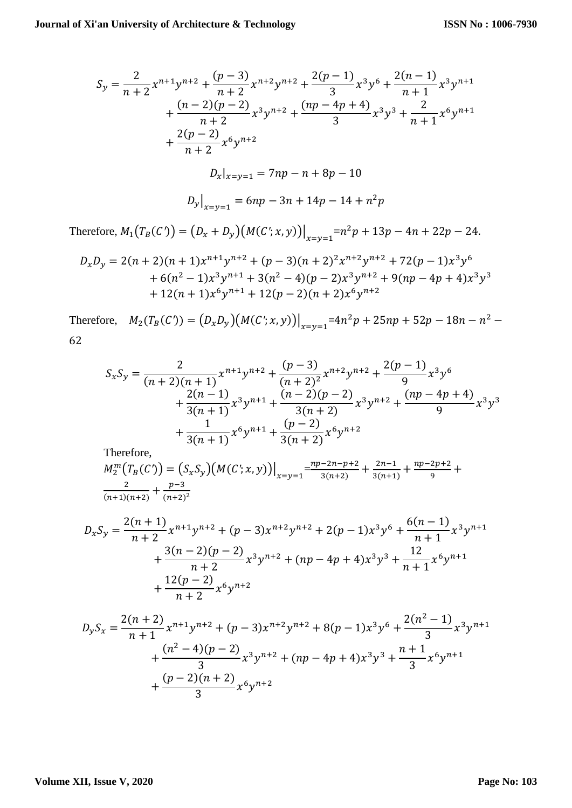$$
S_y = \frac{2}{n+2} x^{n+1} y^{n+2} + \frac{(p-3)}{n+2} x^{n+2} y^{n+2} + \frac{2(p-1)}{3} x^3 y^6 + \frac{2(n-1)}{n+1} x^3 y^{n+1} + \frac{(n-2)(p-2)}{n+2} x^3 y^{n+2} + \frac{(np-4p+4)}{3} x^3 y^3 + \frac{2}{n+1} x^6 y^{n+1} + \frac{2(p-2)}{n+2} x^6 y^{n+2} D_x|_{x=y=1} = 7np - n + 8p - 10 D_y|_{x=y=1} = 6np - 3n + 14p - 14 + n^2p
$$

Therefore,  $M_1(T_B(C)) = (D_x + D_y)(M(C'; x, y))\Big|_{x=y=1} = n^2p + 13p - 4n + 22p - 24.$ 

$$
D_x D_y = 2(n+2)(n+1)x^{n+1}y^{n+2} + (p-3)(n+2)^2x^{n+2}y^{n+2} + 72(p-1)x^3y^6
$$
  
+ 6(n<sup>2</sup> - 1)x<sup>3</sup>y<sup>n+1</sup> + 3(n<sup>2</sup> - 4)(p-2)x<sup>3</sup>y<sup>n+2</sup> + 9(np - 4p + 4)x<sup>3</sup>y<sup>3</sup>  
+ 12(n+1)x<sup>6</sup>y<sup>n+1</sup> + 12(p-2)(n+2)x<sup>6</sup>y<sup>n+2</sup>

Therefore,  $M_2(T_B(C)) = (D_x D_y) (M(C'; x, y))|_{x=y=1} = 4n^2p + 25np + 52p - 18n - n^2$ 62

$$
S_x S_y = \frac{2}{(n+2)(n+1)} x^{n+1} y^{n+2} + \frac{(p-3)}{(n+2)^2} x^{n+2} y^{n+2} + \frac{2(p-1)}{9} x^3 y^6
$$
  
+ 
$$
\frac{2(n-1)}{3(n+1)} x^3 y^{n+1} + \frac{(n-2)(p-2)}{3(n+2)} x^3 y^{n+2} + \frac{(np-4p+4)}{9} x^3 y^3
$$
  
+ 
$$
\frac{1}{3(n+1)} x^6 y^{n+1} + \frac{(p-2)}{3(n+2)} x^6 y^{n+2}
$$

Therefore,

$$
M_2^m(T_B(C')) = (S_x S_y) (M(C'; x, y))\Big|_{x=y=1} = \frac{np - 2n - p + 2}{3(n+2)} + \frac{2n - 1}{3(n+1)} + \frac{np - 2p + 2}{9} + \frac{2}{(n+1)(n+2)} + \frac{p - 3}{(n+2)^2}
$$

$$
D_xS_y = \frac{2(n+1)}{n+2}x^{n+1}y^{n+2} + (p-3)x^{n+2}y^{n+2} + 2(p-1)x^3y^6 + \frac{6(n-1)}{n+1}x^3y^{n+1} + \frac{3(n-2)(p-2)}{n+2}x^3y^{n+2} + (np-4p+4)x^3y^3 + \frac{12}{n+1}x^6y^{n+1} + \frac{12(p-2)}{n+2}x^6y^{n+2}
$$

$$
D_y S_x = \frac{2(n+2)}{n+1} x^{n+1} y^{n+2} + (p-3) x^{n+2} y^{n+2} + 8(p-1) x^3 y^6 + \frac{2(n^2-1)}{3} x^3 y^{n+1} + \frac{(n^2-4)(p-2)}{3} x^3 y^{n+2} + (np-4p+4) x^3 y^3 + \frac{n+1}{3} x^6 y^{n+1} + \frac{(p-2)(n+2)}{3} x^6 y^{n+2}
$$

#### **Volume XII, Issue V, 2020**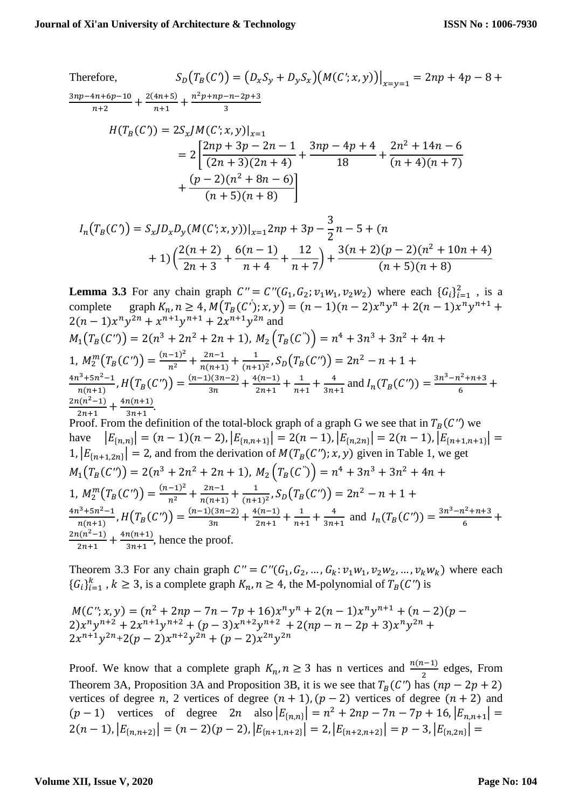Therefore,  
\n
$$
S_D(T_B(C)) = (D_xS_y + D_yS_x)(M(C';x,y))|_{x=y=1} = 2np + 4p - 8 + \frac{3np - 4n + 6p - 10}{n+2} + \frac{2(4n+5)}{n+1} + \frac{n^2p + np - n - 2p + 3}{3}
$$
\n
$$
H(T_B(C)) = 2S_xJM(C';x,y)|_{x=1}
$$
\n
$$
= 2\left[\frac{2np + 3p - 2n - 1}{(2n+3)(2n+4)} + \frac{3np - 4p + 4}{18} + \frac{2n^2 + 14n - 6}{(n+4)(n+7)} + \frac{(p-2)(n^2 + 8n - 6)}{(n+5)(n+8)}\right]
$$

$$
I_n(T_B(C)) = S_x J D_x D_y (M(C'; x, y))|_{x=1} 2np + 3p - \frac{3}{2}n - 5 + (n + 1) \left(\frac{2(n+2)}{2n+3} + \frac{6(n-1)}{n+4} + \frac{12}{n+7}\right) + \frac{3(n+2)(p-2)(n^2+10n+4)}{(n+5)(n+8)}
$$

**Lemma 3.3** For any chain graph  $C'' = C''(G_1, G_2; v_1w_1, v_2w_2)$  where each  $\{G_i\}_{i=1}^2$ , is a complete graph  $K_n$ ,  $n \ge 4$ ,  $M(T_B(C'))$ ;  $x, y$  =  $(n - 1)(n - 2)x^n y^n + 2(n - 1)x^n y^{n+1}$  +  $2(n-1)x^n y^{2n} + x^{n+1}y^{n+1} + 2x^{n+1}y^{2n}$  and  $M_1(T_B(C')) = 2(n^3 + 2n^2 + 2n + 1), M_2(T_B(C'')) = n^4 + 3n^3 + 3n^2 + 4n +$ 1,  $M_2^m(T_B(C')) = \frac{(n-1)^2}{n^2} + \frac{2n-1}{n(n+1)}$  $\frac{2n-1}{n(n+1)} + \frac{1}{(n+1)}$  $\frac{1}{(n+1)^2}$ ,  $S_D(T_B(C')) = 2n^2 - n + 1 +$  $4n^3 + 5n^2 - 1$  $\frac{n^{3}+5n^{2}-1}{n(n+1)}$ ,  $H(T_{B}(C'')) = \frac{(n-1)(3n-2)}{3n}$  $\frac{1(3n-2)}{3n} + \frac{4(n-1)}{2n+1}$  $rac{1}{2n+1} + \frac{1}{n+1}$  $\frac{1}{n+1} + \frac{4}{3n}$  $rac{4}{3n+1}$  and  $I_n(T_B(C')) = \frac{3n^3 - n^2 + n + 3}{6}$  $\frac{1 + n + 3}{6} +$  $2n(n^2-1)$  $\frac{n(n^2-1)}{2n+1} + \frac{4n(n+1)}{3n+1}$  $\frac{n(n+1)}{3n+1}$ . Proof. From the definition of the total-block graph of a graph G we see that in  $T_B(C'')$  we have  $|E_{\{n,n\}}| = (n-1)(n-2), |E_{\{n,n+1\}}| = 2(n-1), |E_{\{n,2n\}}| = 2(n-1), |E_{\{n+1,n+1\}}| =$ 1,  $|E_{\{n+1,2n\}}| = 2$ , and from the derivation of  $M(T_B(C'))$ ; x, y) given in Table 1, we get  $M_1(T_B(C')) = 2(n^3 + 2n^2 + 2n + 1), M_2(T_B(C'')) = n^4 + 3n^3 + 3n^2 + 4n +$ 1,  $M_2^m(T_B(C')) = \frac{(n-1)^2}{n^2} + \frac{2n-1}{n(n+1)}$  $\frac{2n-1}{n(n+1)} + \frac{1}{(n+1)}$  $\frac{1}{(n+1)^2}$ ,  $S_D(T_B(C')) = 2n^2 - n + 1 +$  $4n^3 + 5n^2 - 1$  $\frac{n^{3}+5n^{2}-1}{n(n+1)}$ ,  $H(T_{B}(C'')) = \frac{(n-1)(3n-2)}{3n}$  $\frac{)(3n-2)}{3n} + \frac{4(n-1)}{2n+1}$  $rac{1}{2n+1} + \frac{1}{n+1}$  $\frac{1}{n+1} + \frac{4}{3n}$  $rac{4}{3n+1}$  and  $I_n(T_B(C')) = \frac{3n^3 - n^2 + n + 3}{6}$  $\frac{1+1+3}{6}$  +  $2n(n^2-1)$  $\frac{n(n^2-1)}{2n+1} + \frac{4n(n+1)}{3n+1}$  $\frac{n(n+1)}{3n+1}$ , hence the proof.

Theorem 3.3 For any chain graph  $C'' = C''(G_1, G_2, ..., G_k; \nu_1w_1, \nu_2w_2, ..., \nu_kw_k)$  where each  ${G_i}_{i=1}^k$ ,  $k \ge 3$ , is a complete graph  $K_n$ ,  $n \ge 4$ , the M-polynomial of  $T_B(C'')$  is

 $M(C''; x, y) = (n^2 + 2np - 7n - 7p + 16)x^n y^n + 2(n - 1)x^n y^{n+1} + (n - 2)(p 2)x^n y^{n+2} + 2x^{n+1}y^{n+2} + (p-3)x^{n+2}y^{n+2} + 2(np - n - 2p + 3)x^n y^{2n} +$  $2x^{n+1}y^{2n}+2(p-2)x^{n+2}y^{2n} + (p-2)x^{2n}y^{2n}$ 

Proof. We know that a complete graph  $K_n$ ,  $n \ge 3$  has n vertices and  $\frac{n(n-1)}{2}$  edges, From Theorem 3A, Proposition 3A and Proposition 3B, it is we see that  $T_R(C'')$  has  $(np - 2p + 2)$ vertices of degree n, 2 vertices of degree  $(n + 1)$ ,  $(p - 2)$  vertices of degree  $(n + 2)$  and  $(p-1)$  vertices of degree  $2n$  also  $|E_{n,n}|\, = n^2 + 2np - 7n - 7p + 16$ ,  $|E_{n,n+1}|\, =$  $2(n-1), |E_{n,n+2}| = (n-2)(p-2), |E_{n+1,n+2}| = 2, |E_{n+2,n+2}| = p-3, |E_{n,2n}| =$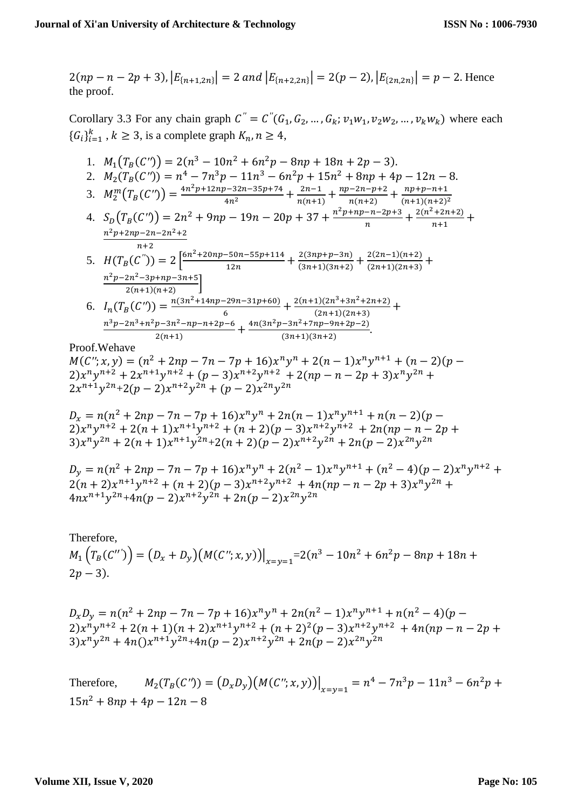$$
2(np - n - 2p + 3), |E_{\{n+1,2n\}}| = 2 \text{ and } |E_{\{n+2,2n\}}| = 2(p - 2), |E_{\{2n,2n\}}| = p - 2.
$$
 Hence the proof.

Corollary 3.3 For any chain graph  $C'' = C''(G_1, G_2, ..., G_k; v_1w_1, v_2w_2, ..., v_kw_k)$  where each  ${G_i}_{i=1}^k$ ,  $k \ge 3$ , is a complete graph  $K_n$ ,  $n \ge 4$ ,

- 1.  $M_1(T_B(C')) = 2(n^3 10n^2 + 6n^2p 8np + 18n + 2p 3).$
- 2.  $M_2(T_B(C')) = n^4 7n^3p 11n^3 6n^2p + 15n^2 + 8np + 4p 12n 8$ .
- 3.  $M_2^m(T_B(C')) = \frac{4n^2p+12np-32n-35p+74}{4n^2} + \frac{2n-1}{n(n+1)}$  $\frac{2n-1}{n(n+1)} + \frac{np-2n-p+2}{n(n+2)}$  $\frac{n(n+2)}{n(n+2)} + \frac{np+p-n+1}{(n+1)(n+2)}$  $(n+1)(n+2)^2$
- 4.  $S_D(T_B(C')) = 2n^2 + 9np 19n 20p + 37 + \frac{n^2p + np n 2p + 3}{n}$  $\frac{-n-2p+3}{n} + \frac{2(n^2+2n+2)}{n+1}$  $\frac{12n+2j}{n+1}$  +  $n^2p + 2np - 2n - 2n^2 + 2$  $n+2$

5. 
$$
H(T_B(C^{''})) = 2\left[\frac{6n^2 + 20np - 50n - 55p + 114}{12n} + \frac{2(3np + p - 3n)}{(3n + 1)(3n + 2)} + \frac{2(2n - 1)(n + 2)}{(2n + 1)(2n + 3)} + \frac{n^2p - 2n^2 - 3p + np - 3n + 5}{2(n + 1)(n + 2)}\right]
$$

6.  $I_n(T_B(C')) = \frac{n(3n^2 + 14np - 29n - 31p + 60)}{6}$  $\frac{-29n-31p+60)}{6} + \frac{2(n+1)(2n^3+3n^2+2n+2)}{(2n+1)(2n+3)}$  $\frac{1}{(2n+1)(2n+3)} +$  $n^3p - 2n^3 + n^2p - 3n^2 - np - n + 2p - 6$  $\frac{p-3n^2-np-n+2p-6}{2(n+1)}+\frac{4n(3n^2p-3n^2+7np-9n+2p-2)}{(3n+1)(3n+2)}$  $\frac{-3n + n(p-3n+2p-2)}{(3n+1)(3n+2)}$ .

Proof.Wehave

 $M(C''; x, y) = (n^2 + 2np - 7n - 7p + 16)x^n y^n + 2(n - 1)x^n y^{n+1} + (n - 2)(p 2)x^n y^{n+2} + 2x^{n+1}y^{n+2} + (p-3)x^{n+2}y^{n+2} + 2(np - n - 2p + 3)x^n y^{2n} +$  $2x^{n+1}y^{2n}+2(p-2)x^{n+2}y^{2n} + (p-2)x^{2n}y^{2n}$ 

$$
D_x = n(n^2 + 2np - 7n - 7p + 16)x^n y^n + 2n(n - 1)x^n y^{n+1} + n(n - 2)(p - 2)x^n y^{n+2} + 2(n + 1)x^{n+1} y^{n+2} + (n + 2)(p - 3)x^{n+2} y^{n+2} + 2n(np - n - 2p + 3)x^n y^{2n} + 2(n + 1)x^{n+1} y^{2n} + 2(n + 2)(p - 2)x^{n+2} y^{2n} + 2n(p - 2)x^{2n} y^{2n}
$$

 $D_y = n(n^2 + 2np - 7n - 7p + 16)x^n y^n + 2(n^2 - 1)x^n y^{n+1} + (n^2 - 4)(p - 2)x^n y^{n+2} +$  $2(n+2)x^{n+1}y^{n+2} + (n+2)(p-3)x^{n+2}y^{n+2} + 4n(np-n-2p+3)x^ny^{2n} +$  $4nx^{n+1}y^{2n} + 4n(p-2)x^{n+2}y^{2n} + 2n(p-2)x^{2n}y^{2n}$ 

Therefore,  $M_1\left(T_B(C'')\right) = (D_x + D_y)\left(M(C''; x, y)\right)\Big|_{x=y=1} = 2(n^3 - 10n^2 + 6n^2p - 8np + 18n +$  $2p - 3$ ).

 $D_x D_y = n(n^2 + 2np - 7n - 7p + 16)x^n y^n + 2n(n^2 - 1)x^n y^{n+1} + n(n^2 - 4)(p - 1)$  $2)x^n y^{n+2} + 2(n+1)(n+2)x^{n+1}y^{n+2} + (n+2)^2(p-3)x^{n+2}y^{n+2} + 4n(np-n-2p+1)$  $3)x^n y^{2n} + 4n(y^{n+1}y^{2n} + 4n(p-2)x^{n+2}y^{2n} + 2n(p-2)x^{2n}y^{2n}$ 

Therefore,  $M_2(T_B(C')) = (D_x D_y)(M(C''; x, y))\Big|_{x=y=1} = n^4 - 7n^3p - 11n^3 - 6n^2p +$  $15n^2 + 8np + 4p - 12n - 8$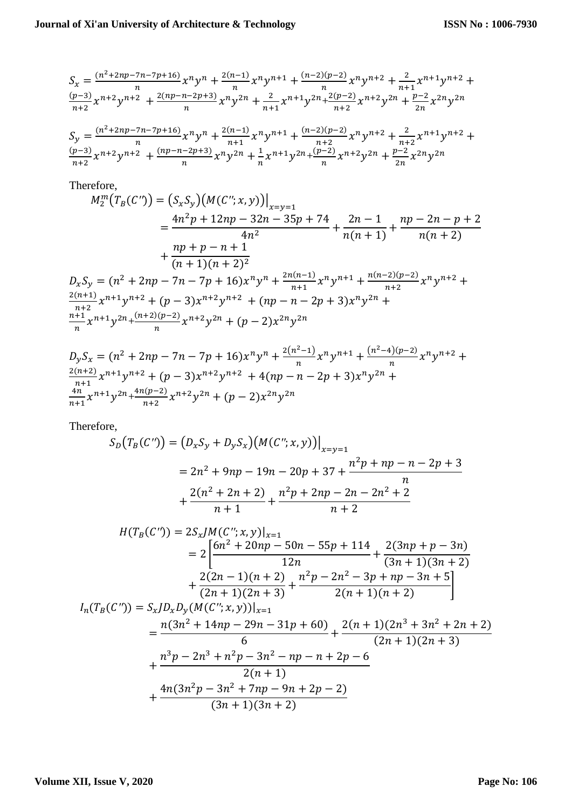$$
S_x = \frac{(n^2 + 2np - 7n - 7p + 16)}{n} x^n y^n + \frac{2(n-1)}{n} x^n y^{n+1} + \frac{(n-2)(p-2)}{n} x^n y^{n+2} + \frac{2}{n+1} x^{n+1} y^{n+2} + \frac{(p-3)}{n+2} x^{n+2} y^{n+2} + \frac{2(np - n - 2p + 3)}{n} x^n y^{2n} + \frac{2}{n+1} x^{n+1} y^{2n} + \frac{2(p-2)}{n+2} x^{n+2} y^{2n} + \frac{p-2}{2n} x^{2n} y^{2n}
$$
  
\n
$$
S_y = \frac{(n^2 + 2np - 7n - 7p + 16)}{n} x^n y^n + \frac{2(n-1)}{n+1} x^n y^{n+1} + \frac{(n-2)(p-2)}{n+2} x^n y^{n+2} + \frac{2}{n+2} x^{n+1} y^{n+2} + \frac{(p-3)}{n+2} x^{n+2} y^{n+2} + \frac{(np - n - 2p + 3)}{n} x^n y^{2n} + \frac{1}{n} x^{n+1} y^{2n} + \frac{(p-2)}{n} x^{n+2} y^{2n} + \frac{p-2}{2n} x^{2n} y^{2n}
$$

Therefore,

$$
M_2^m(T_B(C')) = (S_x S_y) (M(C''; x, y))\Big|_{x=y=1}
$$
  
= 
$$
\frac{4n^2p + 12np - 32n - 35p + 74}{4n^2} + \frac{2n - 1}{n(n + 1)} + \frac{np - 2n - p + 2}{n(n + 2)}
$$
  
+ 
$$
\frac{np + p - n + 1}{(n + 1)(n + 2)^2}
$$
  

$$
D_x S_y = (n^2 + 2np - 7n - 7p + 16)x^n y^n + \frac{2n(n-1)}{n+1} x^n y^{n+1} + \frac{n(n-2)(p-2)}{n+2} x^n y^{n+2} + \frac{2(n+1)}{n+2} x^{n+1} y^{n+2} + (p-3)x^{n+2} y^{n+2} + (np - n - 2p + 3)x^n y^{2n} + \frac{n+1}{n} x^{n+1} y^{2n} + \frac{(n+2)(p-2)}{n} x^{n+2} y^{2n} + (p-2)x^{2n} y^{2n}
$$

$$
D_yS_x = (n^2 + 2np - 7n - 7p + 16)x^n y^n + \frac{2(n^2 - 1)}{n} x^n y^{n+1} + \frac{(n^2 - 4)(p - 2)}{n} x^n y^{n+2} + \frac{2(n+2)}{n+1} x^{n+1} y^{n+2} + (p - 3)x^{n+2} y^{n+2} + 4(np - n - 2p + 3)x^n y^{2n} + \frac{4n}{n+1} x^{n+1} y^{2n} + \frac{4n(p-2)}{n+2} x^{n+2} y^{2n} + (p - 2)x^{2n} y^{2n}
$$

Therefore,

$$
S_D(T_B(C')) = (D_x S_y + D_y S_x) (M(C''; x, y))\Big|_{x=y=1}
$$
  
=  $2n^2 + 9np - 19n - 20p + 37 + \frac{n^2p + np - n - 2p + 3}{n}$   
+  $\frac{2(n^2 + 2n + 2)}{n+1} + \frac{n^2p + 2np - 2n - 2n^2 + 2}{n+2}$   

$$
H(T_B(C')) = 2S_x J M(C''; x, y)\Big|_{x=1}
$$
  
=  $2\left[\frac{6n^2 + 20np - 50n - 55p + 114}{12n} + \frac{2(3np + p - 3n)}{(3n + 1)(3n + 2)} + \frac{2(2n - 1)(n + 2)}{(2n + 1)(2n + 3)} + \frac{n^2p - 2n^2 - 3p + np - 3n + 5}{2(n + 1)(n + 2)}\right]$   

$$
I_n(T_B(C')) = S_x J D_x D_y (M(C''; x, y))\Big|_{x=1}
$$

$$
=\frac{n(3n^2+14np-29n-31p+60)}{6}+\frac{2(n+1)(2n^3+3n^2+2n+2)}{(2n+1)(2n+3)}
$$
  
+
$$
\frac{n^3p-2n^3+n^2p-3n^2-np-n+2p-6}{2(n+1)}
$$
  
+
$$
\frac{4n(3n^2p-3n^2+7np-9n+2p-2)}{(3n+1)(3n+2)}
$$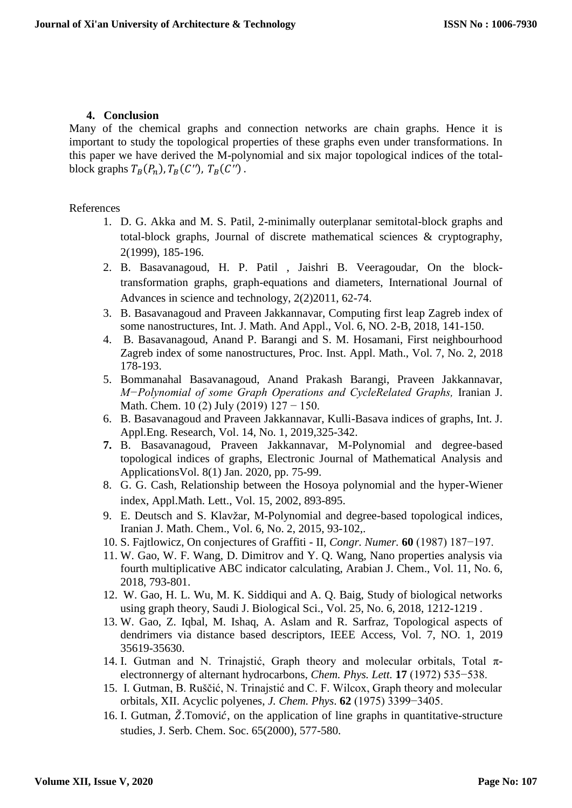## **4. Conclusion**

Many of the chemical graphs and connection networks are chain graphs. Hence it is important to study the topological properties of these graphs even under transformations. In this paper we have derived the M-polynomial and six major topological indices of the totalblock graphs  $T_B(P_n)$ ,  $T_B(C'')$ ,  $T_B(C'')$ .

### References

- 1. D. G. Akka and M. S. Patil, 2-minimally outerplanar semitotal-block graphs and total-block graphs, Journal of discrete mathematical sciences & cryptography, 2(1999), 185-196.
- 2. B. Basavanagoud, H. P. Patil , Jaishri B. Veeragoudar, On the blocktransformation graphs, graph-equations and diameters, International Journal of Advances in science and technology, 2(2)2011, 62-74.
- 3. B. Basavanagoud and Praveen Jakkannavar, Computing first leap Zagreb index of some nanostructures, Int. J. Math. And Appl., Vol. 6, NO. 2-B, 2018, 141-150.
- 4. B. Basavanagoud, Anand P. Barangi and S. M. Hosamani, First neighbourhood Zagreb index of some nanostructures, Proc. Inst. Appl. Math., Vol. 7, No. 2, 2018 178-193.
- 5. Bommanahal Basavanagoud, Anand Prakash Barangi, Praveen Jakkannavar, *M−Polynomial of some Graph Operations and CycleRelated Graphs,* Iranian J. Math. Chem. 10 (2) July (2019) 127 − 150.
- 6. B. Basavanagoud and Praveen Jakkannavar, Kulli-Basava indices of graphs, Int. J. Appl.Eng. Research, Vol. 14, No. 1, 2019,325-342.
- **7.** B. Basavanagoud, Praveen Jakkannavar, M-Polynomial and degree-based topological indices of graphs, Electronic Journal of Mathematical Analysis and ApplicationsVol. 8(1) Jan. 2020, pp. 75-99.
- 8. G. G. Cash, Relationship between the Hosoya polynomial and the hyper-Wiener index, Appl.Math. Lett., Vol. 15, 2002, 893-895.
- 9. E. Deutsch and S. Klavžar, M-Polynomial and degree-based topological indices, Iranian J. Math. Chem., Vol. 6, No. 2, 2015, 93-102,.
- 10. S. Fajtlowicz, On conjectures of Graffiti II, *Congr. Numer.* **60** (1987) 187−197.
- 11. W. Gao, W. F. Wang, D. Dimitrov and Y. Q. Wang, Nano properties analysis via fourth multiplicative ABC indicator calculating, Arabian J. Chem., Vol. 11, No. 6, 2018, 793-801.
- 12. W. Gao, H. L. Wu, M. K. Siddiqui and A. Q. Baig, Study of biological networks using graph theory, Saudi J. Biological Sci., Vol. 25, No. 6, 2018, 1212-1219 .
- 13. W. Gao, Z. Iqbal, M. Ishaq, A. Aslam and R. Sarfraz, Topological aspects of dendrimers via distance based descriptors, IEEE Access, Vol. 7, NO. 1, 2019 35619-35630.
- 14. I. Gutman and N. Trinajstić, Graph theory and molecular orbitals, Total  $\pi$ electronnergy of alternant hydrocarbons, *Chem. Phys. Lett.* **17** (1972) 535−538.
- 15. I. Gutman, B. Ruščić, N. Trinajstić and C. F. Wilcox, Graph theory and molecular orbitals, XII. Acyclic polyenes, *J. Chem. Phys*. **62** (1975) 3399−3405.
- 16. I. Gutman,  $\check{Z}$ . Tomović, on the application of line graphs in quantitative-structure studies, J. Serb. Chem. Soc. 65(2000), 577-580.